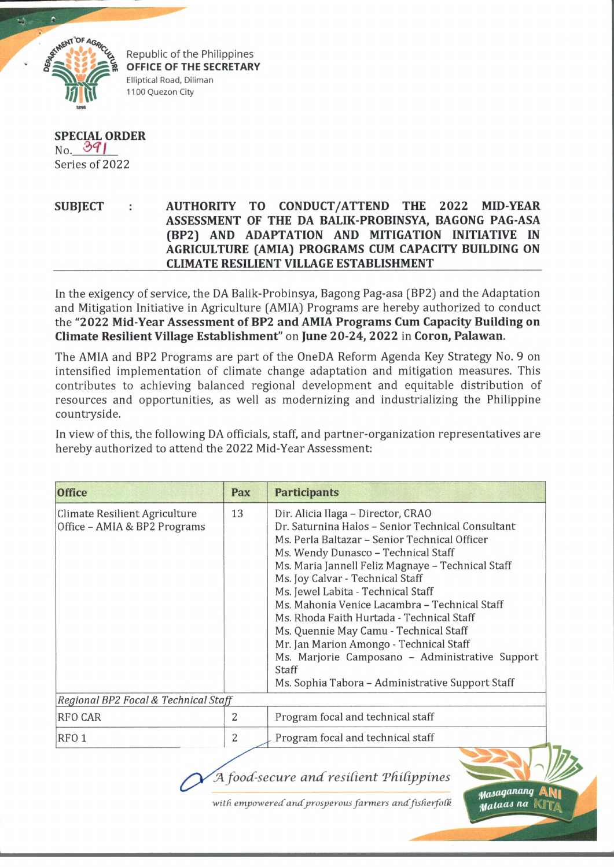

Republic of the Philippines OFFICE OF THE SECRETARY Elliptical Road, Diliman 1100 Quezon City

## **SPECIAL ORDER**  $_{\text{No.}}$  391 Series of 2022

## **SUBJECT AUTHORITY TO CONDUCT/ATTEND THE 2022 MIDYEAR ASSESSMENT OF THE DA BALIK-PROBINSYA, BAGONG PAG-ASA (BP2) AND ADAPTATION AND MITIGATION INITIATIVE IN AGRICULTURE (AMIA) PROGRAMS CUM CAPACITY BUILDING ON CLIMATE RESILIENT VILLAGE ESTABLISHMENT**

In the exigency of service, the DA Balik-Probinsya, Bagong Pag-asa (BP2) and the Adaptation and Mitigation Initiative in Agriculture (AMIA) Programs are hereby authorized to conduct the **"2022 Mid-Year Assessment of BP2 and AMIA Programs Cum Capacity Building on Climate Resilient Village Establishment"** on **June 20-24, 2022** in **Coron, Palawan.**

The AMIA and BP2 Programs are part of the OneDA Reform Agenda Key Strategy No. 9 on intensified implementation of climate change adaptation and mitigation measures. This contributes to achieving balanced regional development and equitable distribution of resources and opportunities, as well as modernizing and industrializing the Philippine countryside.

In view of this, the following DA officials, staff, and partner-organization representatives are hereby authorized to attend the 2022 Mid-Year Assessment:

| <b>Office</b>                                                 | Pax | <b>Participants</b>                                                                                                                                                                                                                                                                                                                                                                                                                                                                                                                                                                                               |
|---------------------------------------------------------------|-----|-------------------------------------------------------------------------------------------------------------------------------------------------------------------------------------------------------------------------------------------------------------------------------------------------------------------------------------------------------------------------------------------------------------------------------------------------------------------------------------------------------------------------------------------------------------------------------------------------------------------|
| Climate Resilient Agriculture<br>Office - AMIA & BP2 Programs | 13  | Dir. Alicia Ilaga - Director, CRAO<br>Dr. Saturnina Halos - Senior Technical Consultant<br>Ms. Perla Baltazar - Senior Technical Officer<br>Ms. Wendy Dunasco - Technical Staff<br>Ms. Maria Jannell Feliz Magnaye - Technical Staff<br>Ms. Joy Calvar - Technical Staff<br>Ms. Jewel Labita - Technical Staff<br>Ms. Mahonia Venice Lacambra - Technical Staff<br>Ms. Rhoda Faith Hurtada - Technical Staff<br>Ms. Quennie May Camu - Technical Staff<br>Mr. Jan Marion Amongo - Technical Staff<br>Ms. Marjorie Camposano - Administrative Support<br>Staff<br>Ms. Sophia Tabora - Administrative Support Staff |
| Regional BP2 Focal & Technical Staff                          |     |                                                                                                                                                                                                                                                                                                                                                                                                                                                                                                                                                                                                                   |
| <b>RFO CAR</b>                                                | 2   | Program focal and technical staff                                                                                                                                                                                                                                                                                                                                                                                                                                                                                                                                                                                 |
| RFO <sub>1</sub>                                              | 2   | Program focal and technical staff                                                                                                                                                                                                                                                                                                                                                                                                                                                                                                                                                                                 |

**agwjft** J4 *fo o d -se c u r e a n c C r e sid e n t T fU d p p in e s*<sup>i</sup>

with empowered and prosperous farmers and fisherfolk

*l/fasaganang* Aty) *jl/laUuM na* IvIlT/i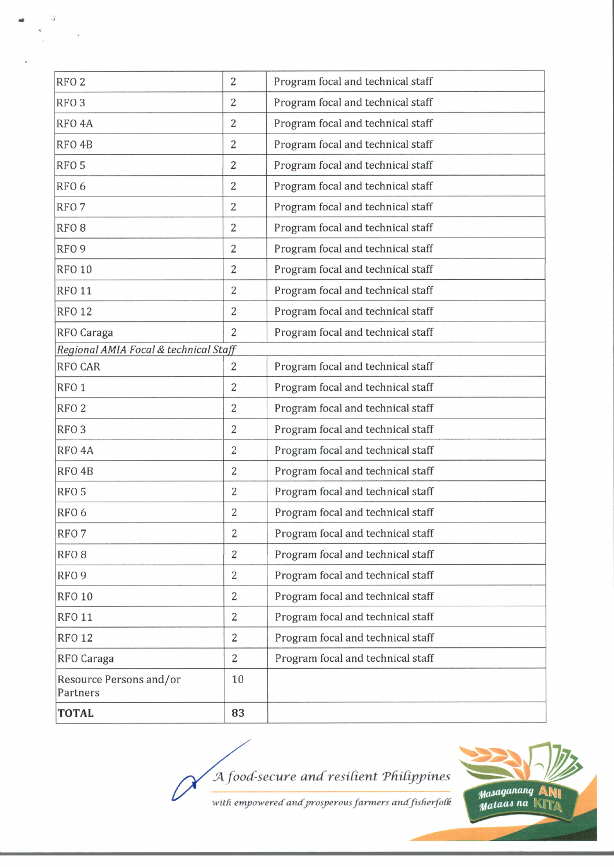| <b>TOTAL</b>                          | 83             |                                   |
|---------------------------------------|----------------|-----------------------------------|
| Resource Persons and/or<br>Partners   | 10             |                                   |
| RFO Caraga                            | $\overline{2}$ | Program focal and technical staff |
| <b>RFO 12</b>                         | $\overline{2}$ | Program focal and technical staff |
| <b>RFO 11</b>                         | $\overline{2}$ | Program focal and technical staff |
| <b>RFO 10</b>                         | $\overline{2}$ | Program focal and technical staff |
| RFO <sub>9</sub>                      | $\overline{2}$ | Program focal and technical staff |
| RFO <sub>8</sub>                      | $\overline{2}$ | Program focal and technical staff |
| RFO <sub>7</sub>                      | $\overline{2}$ | Program focal and technical staff |
| RFO <sub>6</sub>                      | 2              | Program focal and technical staff |
| RFO <sub>5</sub>                      | $\overline{2}$ | Program focal and technical staff |
| RFO <sub>4</sub> B                    | $\overline{2}$ | Program focal and technical staff |
| RFO <sub>4A</sub>                     | $\overline{2}$ | Program focal and technical staff |
| RFO <sub>3</sub>                      | $\overline{2}$ | Program focal and technical staff |
| RFO <sub>2</sub>                      | $\overline{2}$ | Program focal and technical staff |
| RFO <sub>1</sub>                      | $\overline{2}$ | Program focal and technical staff |
| <b>RFO CAR</b>                        | 2              | Program focal and technical staff |
| Regional AMIA Focal & technical Staff |                |                                   |
| RFO Caraga                            | 2              | Program focal and technical staff |
| <b>RFO 12</b>                         | 2              | Program focal and technical staff |
| <b>RFO 11</b>                         | 2              | Program focal and technical staff |
| <b>RFO 10</b>                         | 2              | Program focal and technical staff |
| RFO <sub>9</sub>                      | $\overline{2}$ | Program focal and technical staff |
| RFO <sub>8</sub>                      | 2              | Program focal and technical staff |
| RFO <sub>7</sub>                      | $\overline{2}$ | Program focal and technical staff |
| RFO <sub>6</sub>                      | $\overline{2}$ | Program focal and technical staff |
| RFO <sub>5</sub>                      | $\overline{2}$ | Program focal and technical staff |
| RFO <sub>4</sub> B                    | 2              | Program focal and technical staff |
| RFO <sub>4</sub> A                    | 2              | Program focal and technical staff |
| RFO <sub>3</sub>                      | 2              | Program focal and technical staff |
| RFO <sub>2</sub>                      | $\overline{2}$ | Program focal and technical staff |

A food-secure and resilient Philippines





 $\tilde{\kappa}$ 

 $\widehat{\mathcal{L}}$